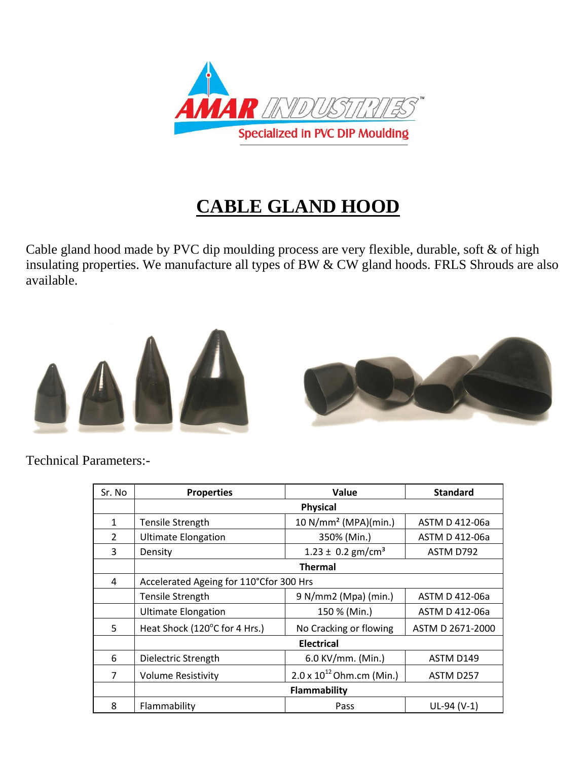

## **CABLE GLAND HOOD**

Cable gland hood made by PVC dip moulding process are very flexible, durable, soft & of high insulating properties. We manufacture all types of BW & CW gland hoods. FRLS Shrouds are also available.





Technical Parameters:-

| Sr. No       | <b>Properties</b>                       | Value                              | <b>Standard</b>  |  |  |  |  |
|--------------|-----------------------------------------|------------------------------------|------------------|--|--|--|--|
|              | <b>Physical</b>                         |                                    |                  |  |  |  |  |
| $\mathbf{1}$ | <b>Tensile Strength</b>                 | 10 $N/mm^2$ (MPA)(min.)            | ASTM D 412-06a   |  |  |  |  |
| 2            | <b>Ultimate Elongation</b>              | 350% (Min.)                        | ASTM D 412-06a   |  |  |  |  |
| 3            | Density                                 | $1.23 \pm 0.2$ gm/cm <sup>3</sup>  | ASTM D792        |  |  |  |  |
|              | <b>Thermal</b>                          |                                    |                  |  |  |  |  |
| 4            | Accelerated Ageing for 110°Cfor 300 Hrs |                                    |                  |  |  |  |  |
|              | <b>Tensile Strength</b>                 | 9 N/mm2 (Mpa) (min.)               | ASTM D 412-06a   |  |  |  |  |
|              | <b>Ultimate Elongation</b>              | 150 % (Min.)                       | ASTM D 412-06a   |  |  |  |  |
| 5            | Heat Shock (120°C for 4 Hrs.)           | No Cracking or flowing             | ASTM D 2671-2000 |  |  |  |  |
|              | <b>Electrical</b>                       |                                    |                  |  |  |  |  |
| 6            | Dielectric Strength                     | 6.0 KV/mm. (Min.)                  | ASTM D149        |  |  |  |  |
| 7            | <b>Volume Resistivity</b>               | $2.0 \times 10^{12}$ Ohm.cm (Min.) | ASTM D257        |  |  |  |  |
|              | Flammability                            |                                    |                  |  |  |  |  |
| 8            | Flammability                            | Pass                               | $UL-94 (V-1)$    |  |  |  |  |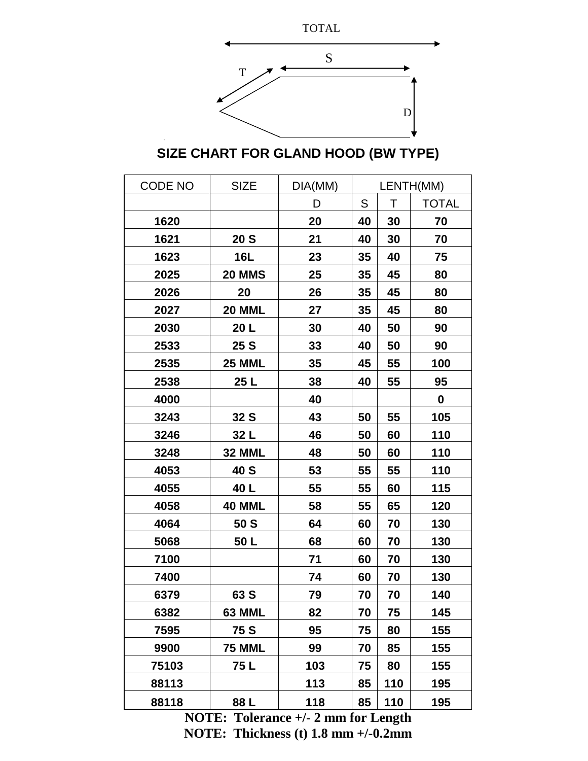

**SIZE CHART FOR GLAND HOOD (BW TYPE)**

| CODE NO | <b>SIZE</b>     | DIA(MM) | LENTH(MM) |     |              |
|---------|-----------------|---------|-----------|-----|--------------|
|         |                 | D       | S         | Τ   | <b>TOTAL</b> |
| 1620    |                 | 20      | 40        | 30  | 70           |
| 1621    | 20 <sub>S</sub> | 21      | 40        | 30  | 70           |
| 1623    | 16L             | 23      | 35        | 40  | 75           |
| 2025    | <b>20 MMS</b>   | 25      | 35        | 45  | 80           |
| 2026    | 20              | 26      | 35        | 45  | 80           |
| 2027    | <b>20 MML</b>   | 27      | 35        | 45  | 80           |
| 2030    | 20 L            | 30      | 40        | 50  | 90           |
| 2533    | 25 S            | 33      | 40        | 50  | 90           |
| 2535    | <b>25 MML</b>   | 35      | 45        | 55  | 100          |
| 2538    | 25 <sub>L</sub> | 38      | 40        | 55  | 95           |
| 4000    |                 | 40      |           |     | 0            |
| 3243    | 32S             | 43      | 50        | 55  | 105          |
| 3246    | 32 L            | 46      | 50        | 60  | 110          |
| 3248    | 32 MML          | 48      | 50        | 60  | 110          |
| 4053    | 40 S            | 53      | 55        | 55  | 110          |
| 4055    | 40 L            | 55      | 55        | 60  | 115          |
| 4058    | <b>40 MML</b>   | 58      | 55        | 65  | 120          |
| 4064    | 50 S            | 64      | 60        | 70  | 130          |
| 5068    | 50 L            | 68      | 60        | 70  | 130          |
| 7100    |                 | 71      | 60        | 70  | 130          |
| 7400    |                 | 74      | 60        | 70  | 130          |
| 6379    | 63 S            | 79      | 70        | 70  | 140          |
| 6382    | 63 MML          | 82      | 70        | 75  | 145          |
| 7595    | 75 S            | 95      | 75        | 80  | 155          |
| 9900    | <b>75 MML</b>   | 99      | 70        | 85  | 155          |
| 75103   | 75 L            | 103     | 75        | 80  | 155          |
| 88113   |                 | 113     | 85        | 110 | 195          |
| 88118   | 88 L            | 118     | 85        | 110 | 195          |

**NOTE: Tolerance +/- 2 mm for Length NOTE: Thickness (t) 1.8 mm +/-0.2mm**